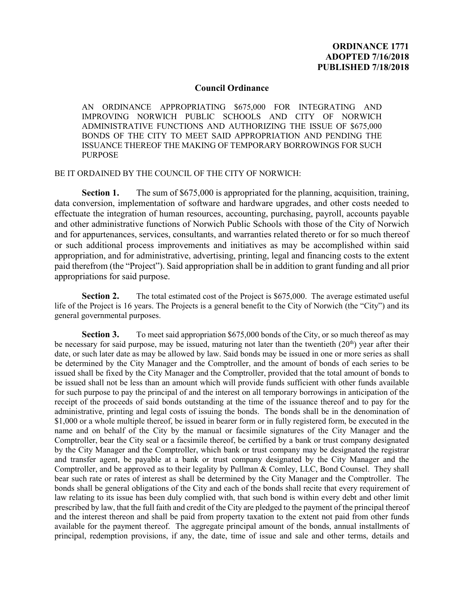## **Council Ordinance**

AN ORDINANCE APPROPRIATING \$675,000 FOR INTEGRATING AND IMPROVING NORWICH PUBLIC SCHOOLS AND CITY OF NORWICH ADMINISTRATIVE FUNCTIONS AND AUTHORIZING THE ISSUE OF \$675,000 BONDS OF THE CITY TO MEET SAID APPROPRIATION AND PENDING THE ISSUANCE THEREOF THE MAKING OF TEMPORARY BORROWINGS FOR SUCH PURPOSE

BE IT ORDAINED BY THE COUNCIL OF THE CITY OF NORWICH:

**Section 1.** The sum of \$675,000 is appropriated for the planning, acquisition, training, data conversion, implementation of software and hardware upgrades, and other costs needed to effectuate the integration of human resources, accounting, purchasing, payroll, accounts payable and other administrative functions of Norwich Public Schools with those of the City of Norwich and for appurtenances, services, consultants, and warranties related thereto or for so much thereof or such additional process improvements and initiatives as may be accomplished within said appropriation, and for administrative, advertising, printing, legal and financing costs to the extent paid therefrom (the "Project"). Said appropriation shall be in addition to grant funding and all prior appropriations for said purpose.

**Section 2.** The total estimated cost of the Project is \$675,000. The average estimated useful life of the Project is 16 years. The Projects is a general benefit to the City of Norwich (the "City") and its general governmental purposes.

**Section 3.** To meet said appropriation \$675,000 bonds of the City, or so much thereof as may be necessary for said purpose, may be issued, maturing not later than the twentieth  $(20<sup>th</sup>)$  year after their date, or such later date as may be allowed by law. Said bonds may be issued in one or more series as shall be determined by the City Manager and the Comptroller, and the amount of bonds of each series to be issued shall be fixed by the City Manager and the Comptroller, provided that the total amount of bonds to be issued shall not be less than an amount which will provide funds sufficient with other funds available for such purpose to pay the principal of and the interest on all temporary borrowings in anticipation of the receipt of the proceeds of said bonds outstanding at the time of the issuance thereof and to pay for the administrative, printing and legal costs of issuing the bonds. The bonds shall be in the denomination of \$1,000 or a whole multiple thereof, be issued in bearer form or in fully registered form, be executed in the name and on behalf of the City by the manual or facsimile signatures of the City Manager and the Comptroller, bear the City seal or a facsimile thereof, be certified by a bank or trust company designated by the City Manager and the Comptroller, which bank or trust company may be designated the registrar and transfer agent, be payable at a bank or trust company designated by the City Manager and the Comptroller, and be approved as to their legality by Pullman & Comley, LLC, Bond Counsel. They shall bear such rate or rates of interest as shall be determined by the City Manager and the Comptroller. The bonds shall be general obligations of the City and each of the bonds shall recite that every requirement of law relating to its issue has been duly complied with, that such bond is within every debt and other limit prescribed by law, that the full faith and credit of the City are pledged to the payment of the principal thereof and the interest thereon and shall be paid from property taxation to the extent not paid from other funds available for the payment thereof. The aggregate principal amount of the bonds, annual installments of principal, redemption provisions, if any, the date, time of issue and sale and other terms, details and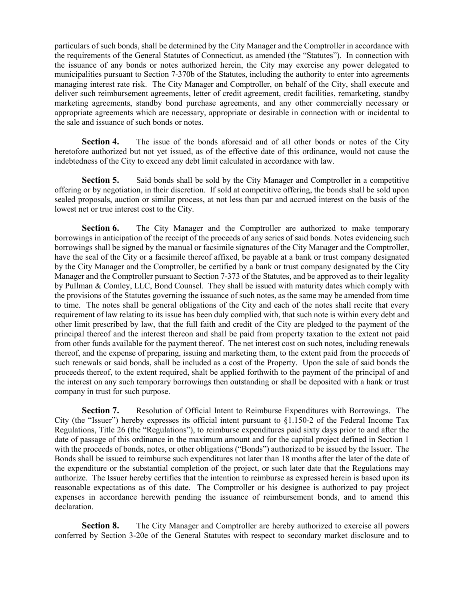particulars of such bonds, shall be determined by the City Manager and the Comptroller in accordance with the requirements of the General Statutes of Connecticut, as amended (the "Statutes"). In connection with the issuance of any bonds or notes authorized herein, the City may exercise any power delegated to municipalities pursuant to Section 7-370b of the Statutes, including the authority to enter into agreements managing interest rate risk. The City Manager and Comptroller, on behalf of the City, shall execute and deliver such reimbursement agreements, letter of credit agreement, credit facilities, remarketing, standby marketing agreements, standby bond purchase agreements, and any other commercially necessary or appropriate agreements which are necessary, appropriate or desirable in connection with or incidental to the sale and issuance of such bonds or notes.

**Section 4.** The issue of the bonds aforesaid and of all other bonds or notes of the City heretofore authorized but not yet issued, as of the effective date of this ordinance, would not cause the indebtedness of the City to exceed any debt limit calculated in accordance with law.

**Section 5.** Said bonds shall be sold by the City Manager and Comptroller in a competitive offering or by negotiation, in their discretion. If sold at competitive offering, the bonds shall be sold upon sealed proposals, auction or similar process, at not less than par and accrued interest on the basis of the lowest net or true interest cost to the City.

**Section 6.** The City Manager and the Comptroller are authorized to make temporary borrowings in anticipation of the receipt of the proceeds of any series of said bonds. Notes evidencing such borrowings shall be signed by the manual or facsimile signatures of the City Manager and the Comptroller, have the seal of the City or a facsimile thereof affixed, be payable at a bank or trust company designated by the City Manager and the Comptroller, be certified by a bank or trust company designated by the City Manager and the Comptroller pursuant to Section 7-373 of the Statutes, and be approved as to their legality by Pullman & Comley, LLC, Bond Counsel. They shall be issued with maturity dates which comply with the provisions of the Statutes governing the issuance of such notes, as the same may be amended from time to time. The notes shall be general obligations of the City and each of the notes shall recite that every requirement of law relating to its issue has been duly complied with, that such note is within every debt and other limit prescribed by law, that the full faith and credit of the City are pledged to the payment of the principal thereof and the interest thereon and shall be paid from property taxation to the extent not paid from other funds available for the payment thereof. The net interest cost on such notes, including renewals thereof, and the expense of preparing, issuing and marketing them, to the extent paid from the proceeds of such renewals or said bonds, shall be included as a cost of the Property. Upon the sale of said bonds the proceeds thereof, to the extent required, shalt be applied forthwith to the payment of the principal of and the interest on any such temporary borrowings then outstanding or shall be deposited with a hank or trust company in trust for such purpose.

**Section 7.** Resolution of Official Intent to Reimburse Expenditures with Borrowings. The City (the "Issuer") hereby expresses its official intent pursuant to  $\S1.150-2$  of the Federal Income Tax Regulations, Title 26 (the "Regulations"), to reimburse expenditures paid sixty days prior to and after the date of passage of this ordinance in the maximum amount and for the capital project defined in Section 1 with the proceeds of bonds, notes, or other obligations ("Bonds") authorized to be issued by the Issuer. The Bonds shall be issued to reimburse such expenditures not later than 18 months after the later of the date of the expenditure or the substantial completion of the project, or such later date that the Regulations may authorize. The Issuer hereby certifies that the intention to reimburse as expressed herein is based upon its reasonable expectations as of this date. The Comptroller or his designee is authorized to pay project expenses in accordance herewith pending the issuance of reimbursement bonds, and to amend this declaration.

**Section 8.** The City Manager and Comptroller are hereby authorized to exercise all powers conferred by Section 3-20e of the General Statutes with respect to secondary market disclosure and to